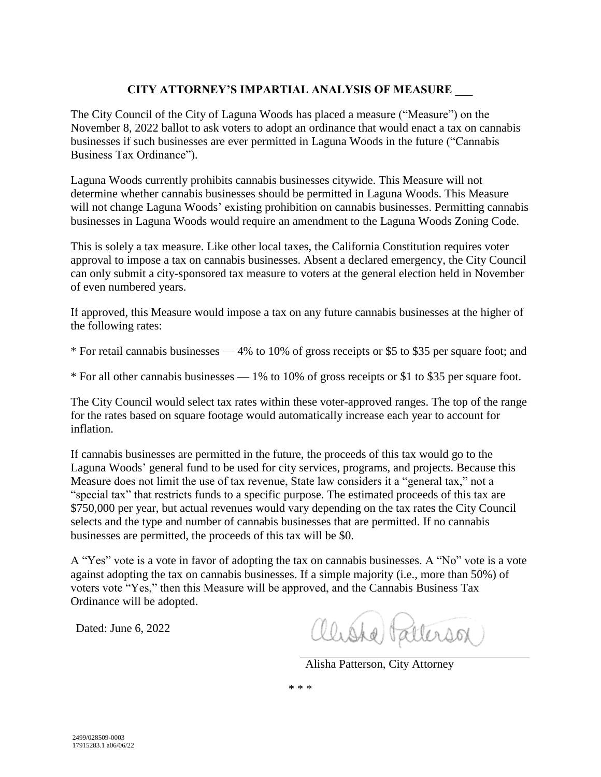## **CITY ATTORNEY'S IMPARTIAL ANALYSIS OF MEASURE \_\_\_**

The City Council of the City of Laguna Woods has placed a measure ("Measure") on the November 8, 2022 ballot to ask voters to adopt an ordinance that would enact a tax on cannabis businesses if such businesses are ever permitted in Laguna Woods in the future ("Cannabis Business Tax Ordinance").

Laguna Woods currently prohibits cannabis businesses citywide. This Measure will not determine whether cannabis businesses should be permitted in Laguna Woods. This Measure will not change Laguna Woods' existing prohibition on cannabis businesses. Permitting cannabis businesses in Laguna Woods would require an amendment to the Laguna Woods Zoning Code.

This is solely a tax measure. Like other local taxes, the California Constitution requires voter approval to impose a tax on cannabis businesses. Absent a declared emergency, the City Council can only submit a city-sponsored tax measure to voters at the general election held in November of even numbered years.

If approved, this Measure would impose a tax on any future cannabis businesses at the higher of the following rates:

\* For retail cannabis businesses — 4% to 10% of gross receipts or \$5 to \$35 per square foot; and

\* For all other cannabis businesses — 1% to 10% of gross receipts or \$1 to \$35 per square foot.

The City Council would select tax rates within these voter-approved ranges. The top of the range for the rates based on square footage would automatically increase each year to account for inflation.

If cannabis businesses are permitted in the future, the proceeds of this tax would go to the Laguna Woods' general fund to be used for city services, programs, and projects. Because this Measure does not limit the use of tax revenue, State law considers it a "general tax," not a "special tax" that restricts funds to a specific purpose. The estimated proceeds of this tax are \$750,000 per year, but actual revenues would vary depending on the tax rates the City Council selects and the type and number of cannabis businesses that are permitted. If no cannabis businesses are permitted, the proceeds of this tax will be \$0.

A "Yes" vote is a vote in favor of adopting the tax on cannabis businesses. A "No" vote is a vote against adopting the tax on cannabis businesses. If a simple majority (i.e., more than 50%) of voters vote "Yes," then this Measure will be approved, and the Cannabis Business Tax Ordinance will be adopted.

Dated: June 6, 2022

Chiste Patterson

Alisha Patterson, City Attorney

\* \* \*